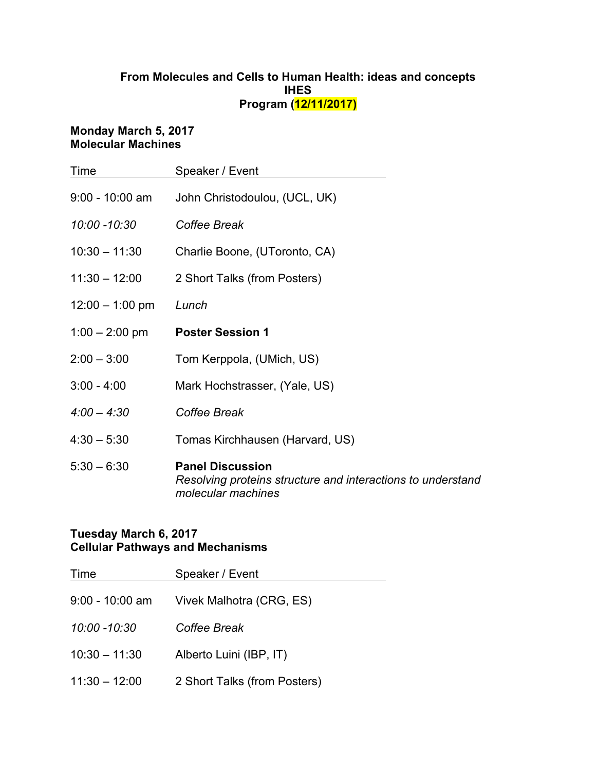# **From Molecules and Cells to Human Health: ideas and concepts IHES Program (12/11/2017)**

#### **Monday March 5, 2017 Molecular Machines**

| Time              | Speaker / Event                                                                                              |
|-------------------|--------------------------------------------------------------------------------------------------------------|
| $9:00 - 10:00$ am | John Christodoulou, (UCL, UK)                                                                                |
| 10:00 -10:30      | Coffee Break                                                                                                 |
| $10:30 - 11:30$   | Charlie Boone, (UToronto, CA)                                                                                |
| $11:30 - 12:00$   | 2 Short Talks (from Posters)                                                                                 |
| $12:00 - 1:00$ pm | Lunch                                                                                                        |
| $1:00 - 2:00$ pm  | <b>Poster Session 1</b>                                                                                      |
| $2:00 - 3:00$     | Tom Kerppola, (UMich, US)                                                                                    |
| $3:00 - 4:00$     | Mark Hochstrasser, (Yale, US)                                                                                |
| $4:00 - 4:30$     | Coffee Break                                                                                                 |
| $4:30 - 5:30$     | Tomas Kirchhausen (Harvard, US)                                                                              |
| $5:30 - 6:30$     | <b>Panel Discussion</b><br>Resolving proteins structure and interactions to understand<br>molecular machines |

## **Tuesday March 6, 2017 Cellular Pathways and Mechanisms**

| Time            | Speaker / Event              |
|-----------------|------------------------------|
| 9:00 - 10:00 am | Vivek Malhotra (CRG, ES)     |
| 10:00 -10:30    | Coffee Break                 |
| $10:30 - 11:30$ | Alberto Luini (IBP, IT)      |
| $11:30 - 12:00$ | 2 Short Talks (from Posters) |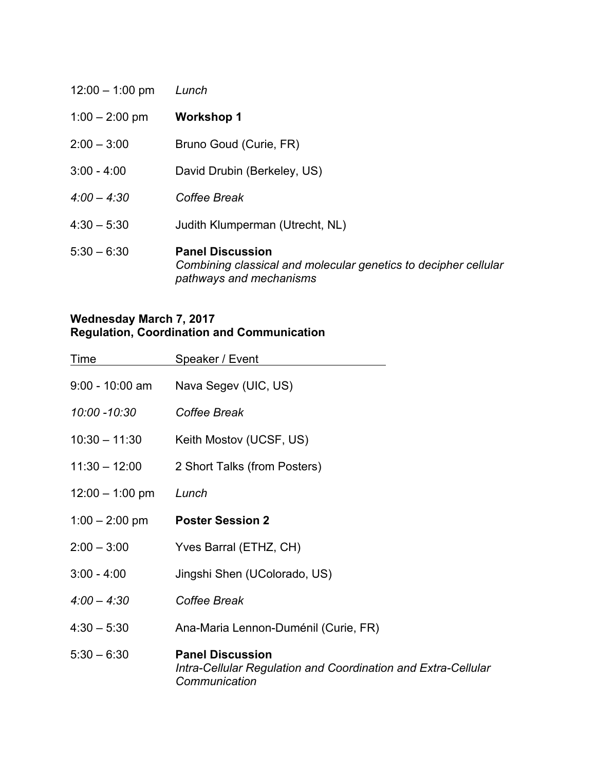| $12:00 - 1:00$ pm | Lunch                                                                                                                 |
|-------------------|-----------------------------------------------------------------------------------------------------------------------|
| $1:00 - 2:00$ pm  | <b>Workshop 1</b>                                                                                                     |
| $2:00 - 3:00$     | Bruno Goud (Curie, FR)                                                                                                |
| $3:00 - 4:00$     | David Drubin (Berkeley, US)                                                                                           |
| $4:00 - 4:30$     | Coffee Break                                                                                                          |
| $4:30 - 5:30$     | Judith Klumperman (Utrecht, NL)                                                                                       |
| $5:30 - 6:30$     | <b>Panel Discussion</b><br>Combining classical and molecular genetics to decipher cellular<br>pathways and mechanisms |

### **Wednesday March 7, 2017 Regulation, Coordination and Communication**

| Time              | Speaker / Event                                                                                           |
|-------------------|-----------------------------------------------------------------------------------------------------------|
| $9:00 - 10:00$ am | Nava Segev (UIC, US)                                                                                      |
| 10:00 -10:30      | Coffee Break                                                                                              |
| $10:30 - 11:30$   | Keith Mostov (UCSF, US)                                                                                   |
| $11:30 - 12:00$   | 2 Short Talks (from Posters)                                                                              |
| $12:00 - 1:00$ pm | Lunch                                                                                                     |
| $1:00 - 2:00$ pm  | <b>Poster Session 2</b>                                                                                   |
| $2:00 - 3:00$     | Yves Barral (ETHZ, CH)                                                                                    |
| $3:00 - 4:00$     | Jingshi Shen (UColorado, US)                                                                              |
| $4:00 - 4:30$     | Coffee Break                                                                                              |
| $4:30 - 5:30$     | Ana-Maria Lennon-Duménil (Curie, FR)                                                                      |
| $5:30 - 6:30$     | <b>Panel Discussion</b><br>Intra-Cellular Regulation and Coordination and Extra-Cellular<br>Communication |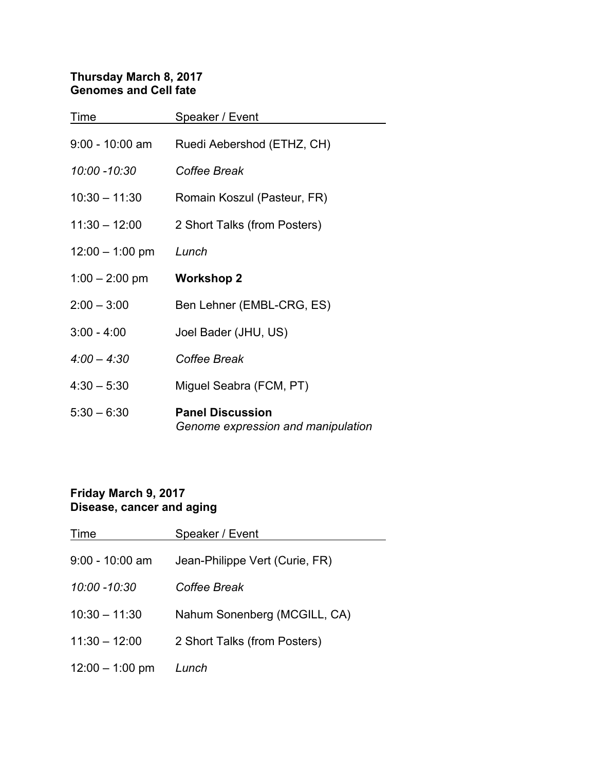# **Thursday March 8, 2017 Genomes and Cell fate**

| Time              | Speaker / Event                                               |
|-------------------|---------------------------------------------------------------|
| $9:00 - 10:00$ am | Ruedi Aebershod (ETHZ, CH)                                    |
| 10:00 -10:30      | Coffee Break                                                  |
| $10:30 - 11:30$   | Romain Koszul (Pasteur, FR)                                   |
| $11:30 - 12:00$   | 2 Short Talks (from Posters)                                  |
| $12:00 - 1:00$ pm | Lunch                                                         |
| $1:00 - 2:00$ pm  | <b>Workshop 2</b>                                             |
| $2:00 - 3:00$     | Ben Lehner (EMBL-CRG, ES)                                     |
| $3:00 - 4:00$     | Joel Bader (JHU, US)                                          |
| $4:00 - 4:30$     | Coffee Break                                                  |
| $4:30 - 5:30$     | Miguel Seabra (FCM, PT)                                       |
| $5:30 - 6:30$     | <b>Panel Discussion</b><br>Genome expression and manipulation |

# **Friday March 9, 2017 Disease, cancer and aging**

| Time              | Speaker / Event                |
|-------------------|--------------------------------|
| $9:00 - 10:00$ am | Jean-Philippe Vert (Curie, FR) |
| $10:00 - 10:30$   | Coffee Break                   |
| $10:30 - 11:30$   | Nahum Sonenberg (MCGILL, CA)   |
| $11:30 - 12:00$   | 2 Short Talks (from Posters)   |
| $12:00 - 1:00$ pm | Lunch                          |